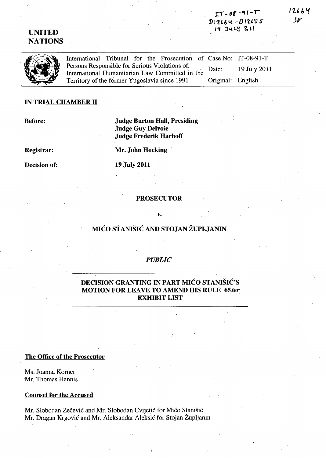# $TT - 08 - 91 - T$  $D12664 - D12655$  $19$   $34 - 9$   $2$   $11$

# UNITED **NATIONS**

International Tribunal for the Prosecution of Case No: IT-08-91-T<br>Persons Responsible for Serious Violations of Date: 19 July 2011<br>International Humanitarian Law Committed in the Date: 19 July 2011<br>Territory of the former Persons Responsible for Serious Violations of International Humanitarian Law Committed in the Territory of the former Yugoslavia since 1991

# IN TRIAL CHAMBER **11**

Before:

# Judge Burton Hall, Presiding Judge Guy Delvoie Judge Frederik Harhoff

Registrar:

Mr. John Hocking

Decision of:

19 July 2011

## PROSECUTOR

#### *v.*

# MIĆO STANIŠIĆ AND STOJAN ŽUPLJANIN

# *PUBLIC*

# DECISION GRANTING IN PART MICO STANISIC'S MOTION FOR LEAVE TO AMEND HIS RULE *65ter.*  **EXHIBIT LIST**

## The Office of the Prosecutor

Ms. Joanna Korner Mr. Thomas Hannis

#### Counsel for the Accused

Mr. Slobodan Zečević and Mr. Slobodan Cvijetić for Mićo Stanišić Mr. Dragan Krgovic and Mr. Aleksandar Aleksic for Stojan Zupljanin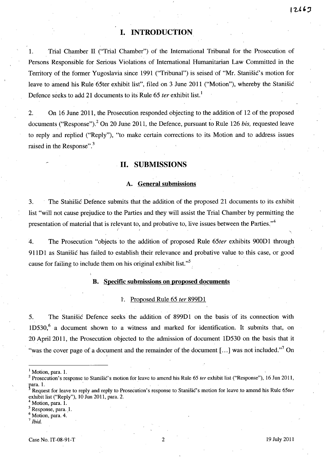# **I. INTRODUCTION**

1. Trial Chamber 11 ("Trial Chamber") of the International Tribunal for the Prosecution of Persons Responsible for Serious Violations of International Humanitarian Law Committed in the Territory of the former Yugoslavia since 1991 ("Tribunal") is seised'of "Mr. Stanisic's motion for leave to amend his Rule 65ter exhibit list", filed on 3 June 2011 ("Motion"), whereby the Stanisic Defence seeks to add 21 documents to its Rule 65 *ter* exhibit list.<sup>1</sup>

2. On 16 June 2011, the Prosecution responded objecting to the addition of 12 of the proposed documents ("Response").<sup>2</sup> On 20 June 2011, the Defence, pursuant to Rule 126 *bis*, requested leave to reply and replied ("Reply"), "to make certain corrections to its Motion and to address issues raised in the Response".<sup>3</sup>

# **11. SUBMISSIONS**

## **A. General submissions**

3. The Stahisic Defence submits that the addition of the proposed 21 documents to its exhibit list "will not cause prejudice to the Parties and they will assist the Trial Chamber by permitting the presentation of material that is relevant to, and probative to, live issues between the Parties. $"$ <sup>4</sup>

4. The Prosecution "objects to the addition of proposed Rule *65ter* exhibits 900D1 through 911D1 as Stanisic has failed to establish their relevance and probative value to this case, or good cause for failing to include them on his original exhibit list."

### **B. Specific submissions on proposed documents**

#### 1. Proposed Rule 65 *ter* 899D1

5. The Stanisic Defence seeks the addition of 899D1 on the basis of its connection with  $1D530$ <sup>6</sup> a document shown to a witness and marked for identification. It submits that, on 20 April 2011, the Prosecution objected to the admission of document 1D530 on the basis that it "was the cover page of a document and the remainder of the document [...] was not included."<sup>7</sup> On

Motion, para. 1.

Response, para. 1.<br>Motion, para. 4.

Motion, para. 1.

Prosecution's response to Stanišić's motion for leave to amend his Rule 65 *ter exhibit list* ("Response"), 16 Jun 2011, para. 1.

Request for leave to reply and reply to Prosecution's response to Stanišic's motion for leave to amend his Rule 65ter exhibit list ("Reply"), 10 Jun 2011, para. 2.

<sup>7</sup>*Ibid.*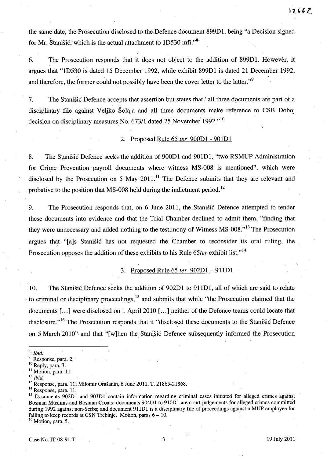the same date, the Prosecution disclosed to the Defence document 899D1, being "a Decision signed for Mr. Stanišić, which is the actual attachment to  $1D530$  mfi.<sup>38</sup>,

6. The Prosecution responds that it does not object to the addition of 899D1. However, it argues that "lD530 is dated 15 December 1992, while exhibit 899D1 is dated 21 December 1992, and therefore, the former could not possibly have been the cover letter to the latter."<sup>9</sup>

7. The Stanisic Defence accepts that assertion but states that "all three documents are part of a disciplinary file against Veljko Solaja and all three documents make reference to CSB Doboj decision on disciplinary measures No. 673/1 dated 25 November 1992."<sup>10</sup>

### 2. Proposed Rule 65 *ter* 900D1 - 901D1

8. The Stanisic Defence seeks the addition of 900D1 and 901D1, "two RSMUP Administration for Crime Prevention payroll documents where witness MS-008 is mentioned", which were disclosed by the Prosecution on 5 May 2011.<sup>11</sup> The Defence submits that they are relevant and probative to the position that MS-008 held during the indictment period.<sup>12</sup>

9. The Prosecution responds that, on 6 June 2011, the.Stanisic Defence attempted to tender these documents into evidence and that the Trial Chamber declined to admit them, "finding that they were unnecessary and added nothing to the testimony of Witness MS-008."<sup>13</sup> The Prosecution argues that "[a]s Stanisic has not requested the Chamber to reconsider its oral ruling, the Prosecution opposes the addition of these exhibits to his Rule 65ter exhibit list."<sup>14</sup>

#### 3. Proposed Rule 65 *ter* 902D1 - 911D1

10. The Stanisic Defence seeks the addition of 902D1 to 911D1, all of which are said to relate to criminal or disciplinary proceedings,<sup>15</sup> and submits that while "the Prosecution claimed that the documents [...] were disclosed on 1 April 2010 [...] neither of the Defence teams could locate that disclosure."<sup>16</sup> The Prosecution responds that it "disclosed these documents to the Stanišic Defence on 5 March 2010" and that "[ w ]hen the Stanisic Defence subsequently informed the Prosecution

<sup>16</sup> Motion, para. 5.

*<sup>8</sup> Ibid.* 

Response, para. 2.

<sup>&</sup>lt;sup>10</sup> Reply, para. 3.

<sup>&</sup>lt;sup>11</sup> Motion, para. 11.

<sup>12</sup>*Ibid.* 

<sup>13</sup> Response, para. 11; Milomir Orasanin, 6 June 2011, T. 21865-21868.

<sup>&</sup>lt;sup>14</sup> Response, para. 11.

<sup>&</sup>lt;sup>15</sup> Documents 902D1 and 903D1 contain information regarding criminal cases initiated for alleged crimes against Bosnian Muslims and Bosnian Croats; documents 904D1 to 910D1 are court judgements for alleged crimes committed during 1992 against non-Serbs; and document 911D1 is a disciplinary file of proceedings against a MUP employee for failing to keep records at CSN Trebinje. Motion, paras  $6 - 10$ .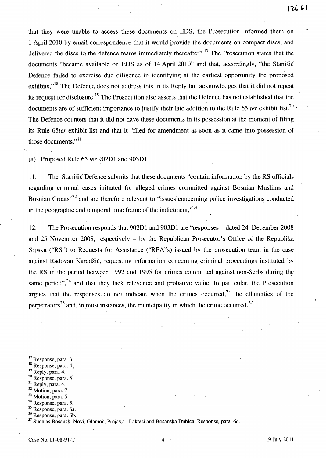that they were unable to access these documents on EDS, the Prosecution informed them on 1 April 2010 by email correspondence that it would provide the documents on compact discs, and delivered the discs to the defence teams immediately thereafter".<sup>17</sup> The Prosecution states that the documents "became available on EDS as of 14 April 2010" and that, accordingly, "the Stanisic Defence failed to exercise due diligence in identifying at the earliest. opportunity the proposed exhibits,<sup>"18</sup> The Defence does not address this in its Reply but acknowledges that it did not repeat its request for disclosure. 19 The Prosecution also asserts that the Defence has not established that the documents are of sufficient importance to justify their late addition to the Rule 65 *ter* exhibit list.<sup>20</sup> The Defence counters that it did not have these documents in its possession at the moment of filing its Rule *65ter* exhibit list and that it "filed for amendment as soon as it came into possession of' those documents."<sup>21</sup>

(a) Proposed Rule 65 *ter* 902Dl and 903Dl

11. The Stanisic Defence submits that these documents "contain information by the RS officials regarding criminal cases initiated for alleged crimes committed against Bosnian Muslims and Bosnian Croats<sup>"22</sup> and are therefore relevant to "issues concerning police investigations conducted in the geographic and temporal time frame of the indictment, $^{23}$ 

12. The Prosecution responds that'902Dl and 903Dl are "responses - dated 24 December 2008 and 25 November 2008, respectively - by the Republican Prosecutor's Office of the Republika Srpska ("RS") to Requests for Assistance ("RFA"s) Issued by the prosecution team in the case against Radovan Karadžić, requesting information concerning criminal proceedings instituted by the RS in the period between 1992 and 1995 for crimes committed against non-Serbs during the same period", $24$  and that they lack relevance and probative value. In particular, the Prosecution argues that the responses do not indicate when the crimes occurred,  $25$  the ethnicities of the perpetrators<sup>26</sup> and, in most instances, the municipality in which the crime occurred.<sup>27</sup>

- <sup>17</sup> Response, para. 3.
- $18$  Response, para. 4.
- <sup>19</sup> Reply, para. 4.
- 20 Response, para. 5.
- 21 Reply, para. 4.
- 22 Motion, para. 7.
- $23$  Motion, para. 5.
- <sup>24</sup> Response, para. 5.
- 25 Response, para. 6a,
- $26$  Response, para. 6b.

f

<sup>&</sup>lt;sup>27</sup> Such as Bosanski Novi, Glamoč, Prnjavor, Laktaši and Bosanska Dubica, Response, para. 6c.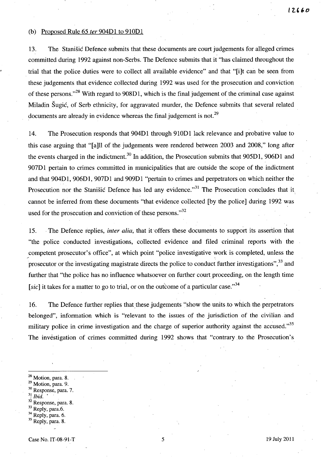#### (b) Proposed Rule 65 *ter* 904Dl to 910Dl

13. The Stanisic Defence submits that these documents are court judgements for alleged crimes committed during 1992 against non-Serbs. The Defence submits that it "has claimed throughout the trial that the police duties were to collect all available evidence" and that "[i]t can be seen from these judgements that evidence collected during 1992 was used for the prosecution and conviction of these persons."<sup>28</sup> With regard to 908D1, which is the final judgement of the criminal case against Miladin Sugic, of Serb ethnicity, for aggravated murder, the Defence submits that several related documents are already in evidence whereas the final judgement is not.<sup>29</sup>

14. The Prosecution responds that 904Dl through 910Dl lack relevance and probative value to this case arguing that "[a]ll of the judgements were rendered between 2003 and 2008," long after the events charged in the indictment.<sup>30</sup> In addition, the Prosecution submits that  $905D1$ ,  $906D1$  and 907D1 pertain to crimes committed in municipalities that are outside the scope of the indictment and that 904Dl, 906Dl, 907Dl and 909Dl "pertain to crimes and perpetrators on which neither the Prosecution nor the Stanisic Defence has led any evidence."<sup>31</sup> The Prosecution concludes that it cannot be inferred from these documents "that evidence collected [by the police] during 1992 was used for the prosecution and conviction of these persons. $^{32}$ 

15. . The Defence replies, *inter alia',* that it 'offers these documents to support its assertion that "the police conducted investigations, collected evidence and filed criminal reports with the competent prosecutor's office", at which point "police investigative work is completed, unless the prosecutor or the investigating magistrate directs the police to conduct further investigations",<sup>33</sup> and further that "the police has no influence whatsoever on further court proceeding, on the length time [sic] it takes for a matter to go to trial, or on the outcome of a particular case.<sup>34</sup>

16. The Defence further replies that these judgements "show the units to which the perpetrators" belonged", information which is "relevant to the issues of the jurisdiction of the civilian and military police in crime investigation and the charge of superior authority against the accused."<sup>35</sup> The investigation of crimes committed during 1992 shows that "contrary, to the Prosecution's

 $28$  Motion, para. 8.

- <sup>29</sup> Motion, para. 9.
- <sup>30</sup> Response, para. 7.<br><sup>31</sup>/*Ibid.*
- 
- $32$  Response, para. 8.
- <sup>33</sup> Reply, para.6.
- $34$  Reply, para. 6.
- $35$  Reply, para. 8.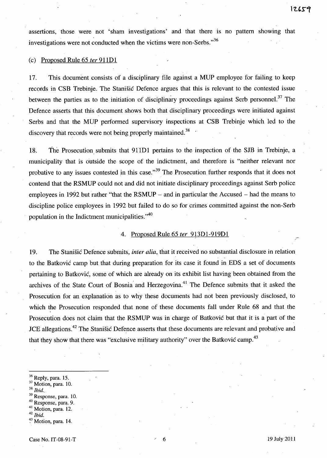assertions, those were not 'sham investigations' and that there is no pattern showing that investigations were not conducted when the victims were non-Serbs. $^{35}$ 

#### (c) Proposed Rule 65 *fer* 911Dl

17. This document consists of a disciplinary file against a MUP employee for failing to keep records in CSB Trebinje. The Stanisic Defence argues that this is relevant to the contested issue between the parties as to the initiation of disciplinary proceedings against Serb personnel.<sup>37</sup> The Defence asserts that this document shows both that disciplinary proceedings were initiated against Serbs and that the MUP performed supervisory inspections at CSB Trebinje which led to the discovery that records were not being properly maintained.<sup>38</sup>

18. The Prosecution, submits that 911Dl pertains to the inspection of the *SIB* in Trebinje, a municipality that is outside the scope of the indictment, and therefore is "neither relevant nor probative to any issues contested in this case.<sup> $,39$ </sup> The Prosecution further responds that it does not contend that the RSMUP could not and did not initiate disciplinary proceedings against Serb police employees in 1992 but rather "that the RSMUP – and in particular the Accused – had the means to discipline police employees in 1992 but failed to do so for crimes committed against the non-Serb population in the Indictment municipalities."<sup>40</sup>

#### 4. Proposed Rule 65 *ter* 913D1-919D1

19. The Stanisic Defence submits, *inter alia,* that it received no substantial disclosure in relation to the Batkovic camp but that during preparation for its case it found in EDS a set of documents pertaining to Batkovic, some of which are already on its exhibit list having been obtained from the archives of the State Court of Bosnia and Herzegovina.<sup>41</sup> The Defence submits that it asked the Prosecution for an explanation as to why these documents had not been previously disclosed, to which the Prosecution responded that none of these documents fall under Rule 68 and that the Prosecution does not claim that the RSMUP was in charge of Batkovic but that it is a part of the ICE allegations.<sup>42</sup> The Stanistic Defence asserts that these documents are relevant and probative and that they show that there was "exclusive military authority" over the Batkovic camp.<sup>43</sup>

- <sup>37</sup> Motion, para. 10.
- *38 Ibid.,*
- <sup>39</sup> Response, para. 10.
- <sup>40</sup> Response, para. 9.
- Motion, para. 12.
- <sup>42</sup>*Ibid.*

 $^{36}$  Reply, para. 15.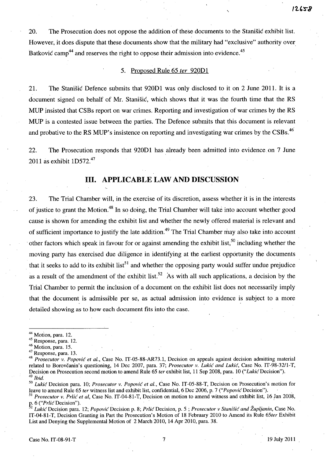20. The Prosecution does not oppose the addition of these documents to the Stanisic exhibit list. However, it does dispute that these documents show that the military had "exclusive" authority over Batković camp<sup>44</sup> and reserves the right to oppose their admission into evidence.<sup>45</sup>

 $\mathbf{r}$ 

### 5. Proposed Rule 65 fer 920Dl

21. The Stanisic Defence submits that 920Dl was only disclosed to it on 2 June 2011. It is a document signed on behalf of Mr. Stanisic, which shows that it was the fourth time that the RS MUP insisted that CSBs report on war crimes. Reporting and investigation of war crimes by the RS MUP is a contested issue between the parties. The Defence submits that this document is relevant and probative to the RS MUP's insistence on reporting and investigating war crimes by the CSBs.<sup>46</sup>

22. The Prosecution responds that 920D1 has already been admitted into evidence on 7 June 2011 as exhibit  $1D572.<sup>47</sup>$ 

# **Ill. APPLICABLE LAW AND DISCUSSION**

23. The Trial Chamber will, in the exercise of its discretion, assess whether it is in the interests of justice to grant the Motion.<sup>48</sup>**In** so doing, the Trial Chamber will take into account whether good cause is shown for amending the exhibit list and whether the newly offered material is relevant and of sufficient importance to justify the late addition.<sup>49</sup> The Trial Chamber may also take into account other factors which speak in favour for or against amending the exhibit list,<sup>50</sup> including whether the moving party has exercised due diligence in identifying at the earliest opportunity the documents that it seeks to add to its exhibit list<sup>51</sup> and whether the opposing party would suffer undue prejudice as a result of the amendment of the exhibit list.<sup>52</sup> As with all such applications, a decision by the Trial Chamber to permit the inclusion of a document on the exhibit list does not necessarily imply that the document is admissible per se, as actual admission into evidence is subject to a more detailed showing as to how each document fits into the case.

*50 Lukic* Decision para. 10; *Prosecutor* v. *Popovic et al.,* Case No. IT-05-SS-T, Decision on Prosecution's motion for leave to amend Rule 65 *ter* witness list and exhibit list, confidential, 6 Dec 2006, p. 7 ("Popović Decision").

p. 6 ("Prlić Decision").<br><sup>52</sup> Lukić Decision para. 12; *Popović* Decision p. 8; Prlić Decision, p. 5; Prosecutor v Stanišić and Župljanin, Case No. IT-04-S1-T, Decision Granting in Part the Prosecution's Motion of IS February 2010 to Amend its Rule *65ter* Exhibit List and Denying the Supplemental Motion of 2 March 2010, 14 Apr 2010, para. 3S.

 $44$  Motion, para. 12.

<sup>45</sup> Response, para. 12.

<sup>46</sup> Motion, para. 15.

<sup>47</sup> Response, para. 13.

<sup>48</sup>*Prosecutorv. Popovic et aI.,* Case No. IT-05-SS-AR73.1, Decision on appeals against decision admitting material related to Borovčanin's questioning, 14 Dec 2007, para. 37; *Prosecutor v. Lukić and Lukić*, Case No. IT-98-32/1-T, Decision on Prosecution second motion to amend Rule 65 *ter* exhibit list, 11 Sep 200S, para. 10 *("Lukic* Decision").  $^{49}$  Ibid.

<sup>51</sup>*Prosecutor* v. *Prlic et ai,* Case No. IT-04-S1-T, Decision on motion to amend witness and exhibit list, 16 Jan 200S,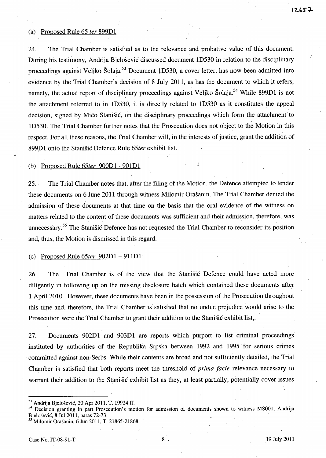#### (a) Proposed Rule 65 *ter* 899Dl

24. The Trial Chamber is satisfied as to the relevance and probative value of this document. During his testimony, Andrija Bjelošević discussed document 1D530 in relation to the disciplinary proceedings against Veljko Šolaja.<sup>53</sup> Document 1D530, a cover letter, has now been admitted into evidence by the Trial Chamber's decision of 8 July 2011, as has the document to which it refers, namely, the actual report of disciplinary proceedings against Veljko Šolaja.<sup>54</sup> While 899D1 is not the attachment referred to in lD530, it is directly related to lD530 as it constitutes the appeal decision, signed by Mico Stanišic, on the disciplinary proceedings which form the attachment to lD530. The Trial Chamber further notes that the Prosecution does not object to the Motion in this respect. For all these reasons, the Trial Chamber will, in the interests of justice, grant the addition of 899Dl onto the Stanisic Defence Rule *65ter* exhibit list.

### (b) Proposed Rule *65ter* 900Dl - 90lDl J

25., The Trial Chamber notes that, after the filing of the Motion, the Defence attempted to tender these documents on 6 June 2011 through witness Milomir Orašanin. The Trial Chamber denied the admission of these documents at that time on the basis that the oral evidence of the witness on matters related to the content of these documents was sufficient and their admission, therefore, was unnecessary.<sup>55</sup> The Stanisic Defence has not requested the Trial Chamber to reconsider its position and, thus, the Motion is dismissed in this regard.

### (c) Proposed Rule *65ter* 902Dl - 9llDl .

26. The Trial Chamber is of the view that the Stanistic Defence could have acted more diligently in following up on the missing disclosure batch which contained these documents after 1 April 2010. However, these documents have been in the possession of the Prosecution throughout this time and, therefore, the Trial Chamber is satisfied that no undue prejudice. would arise to the Prosecution were the Trial Chamber to grant their addition to the Stanisic exhibit list,.

27. Documents 902Dl and 903Dl are reports which purport to list criminal proceedings instituted by authorities of the Republika Srpska between 1992 and 1995 for serious crimes committed against non-Serbs. While their contents are broad and not sufficiently detailed, the Trial Chamber is satisfied that both reports meet the threshold of *prima facie* relevance necessary to warrant their addition to the Stanišić exhibit list as they, at least partially, potentially cover issues

<sup>53</sup> Andrija Bjelošević, 20 Apr 2011, T. 19924 ff.

<sup>&</sup>lt;sup>54</sup> Decision granting in part Prosecution's motion for admission of documents shown to witness MS001, Andrija Bjelošević, 8 Jul 2011, paras 72-73.

<sup>55</sup> Milomir Orasanin, 6 Jun 2011, T. 21865-21868.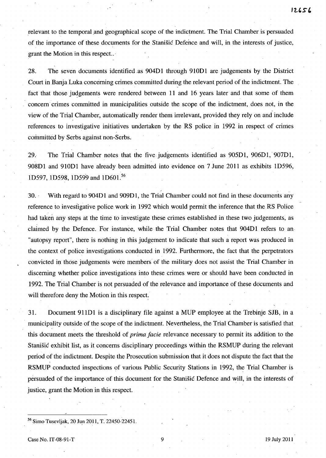relevant to the temporal and geographical scope of the indictment. The Trial Chamber is persuaded of the importance of these documents for the Stanisic Defence and will, in the interests of justice, grant the Motion in this respect.. '

28. The seven documents identified .as 904Dl through 910Dl are judgements by the District Court in Banja Luka concerning crimes committed during the relevant period of the indictment. The fact that those judgements were rendered between 11 and 16 years later and that some of them concern' crimes committed in municipalities outside the scope of the indictment, does not, in the view of the Trial'Chamber, automatically render them irrelevant, provided they rely on and include references to investigative initiatives undertaken by the RS police in 1992 in respect of crinies committed by Serbs against non-Serbs.

29. The Trial Chamber notes that the five judgements identified as 905Dl, 906Dl,' 907Dl, 908Dl and 910Dl have already been admitted into evidence on 7 June 2011 as exhibits 1D596, 1D597, 1D598, 1D599 and 1D601.<sup>56</sup>

30.' With regard to 904Dl and 909Dl, the Trial Chamber could not find in these documents any reference to investigative police work in 1992 which would permit the inference that the RS Police had taken any steps at the time to investigate these crimes established in these two judgements, as claimed by the Defence. For instance, while the Trial Chamber notes that 904D1 refers to an "autopsy report", there is nothing in this judgement to indicate that such a report was produced in the context of police investigations conducted in 1992. Furthermore, the fact that the perpetrators convicted in those judgements were members of the military does not assist the Trial Chamber in discerning whether police investigations into these crimes were or should have been conducted in 1992. The Trial Chamber is not persuaded of the relevance and importance of these documents and will therefore deny the Motion in this respect.

31. Document 911Dl is a disciplinary file against a MUP employee at the Trebinje SJB, in a municipality outside of the scope of the indictment. Nevertheless, the Trial Chamber is satisfied that this document meets the threshold of *prima facie* relevance necessary to permit its addition to the Stanisic exhibit list, as it concerns disciplinary proceedings within the RSMUP during the relevant period of the indictment. Despite the Prosecution submission that it does not dispute the fact that the RSMUP conducted inspections of various Public Security Stations in 1992, the Trial Chamber is persuaded of the importance of this document for the Stanisic Defence and will, in the interests of justice, grant the Motion in this respect.

<sup>&</sup>lt;sup>56</sup> Simo Tusevljak, 20 Jun 2011, T. 22450-22451.